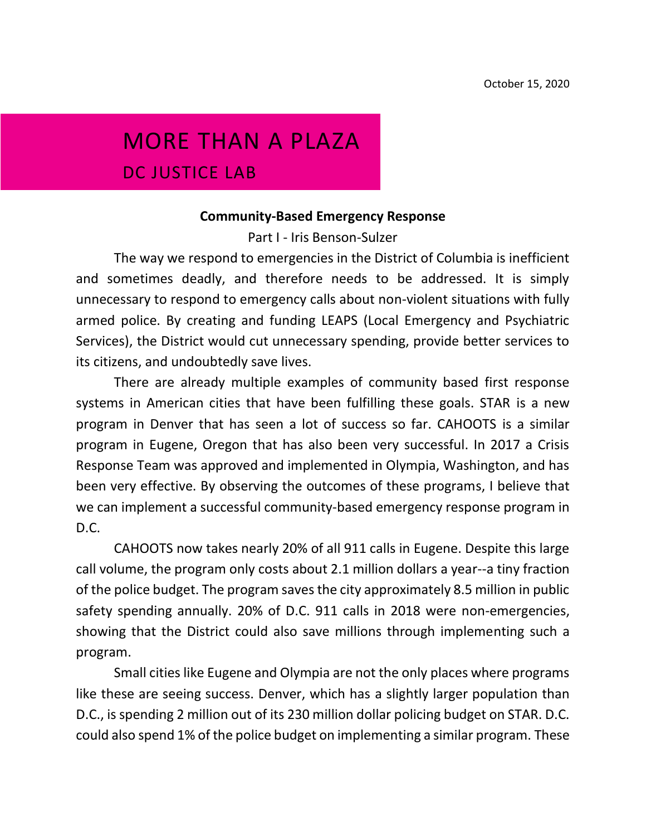# MORE THAN A PLAZA

DC JUSTICE LAB

#### **Community-Based Emergency Response**

Part I - Iris Benson-Sulzer

The way we respond to emergencies in the District of Columbia is inefficient and sometimes deadly, and therefore needs to be addressed. It is simply unnecessary to respond to emergency calls about non-violent situations with fully armed police. By creating and funding LEAPS (Local Emergency and Psychiatric Services), the District would cut unnecessary spending, provide better services to its citizens, and undoubtedly save lives.

There are already multiple examples of community based first response systems in American cities that have been fulfilling these goals. STAR is a new program in Denver that has seen a lot of success so far. CAHOOTS is a similar program in Eugene, Oregon that has also been very successful. In 2017 a Crisis Response Team was approved and implemented in Olympia, Washington, and has been very effective. By observing the outcomes of these programs, I believe that we can implement a successful community-based emergency response program in D.C.

CAHOOTS now takes nearly 20% of all 911 calls in Eugene. Despite this large call volume, the program only costs about 2.1 million dollars a year--a tiny fraction of the police budget. The program saves the city approximately 8.5 million in public safety spending annually. 20% of D.C. 911 calls in 2018 were non-emergencies, showing that the District could also save millions through implementing such a program.

Small cities like Eugene and Olympia are not the only places where programs like these are seeing success. Denver, which has a slightly larger population than D.C., is spending 2 million out of its 230 million dollar policing budget on STAR. D.C. could also spend 1% of the police budget on implementing a similar program. These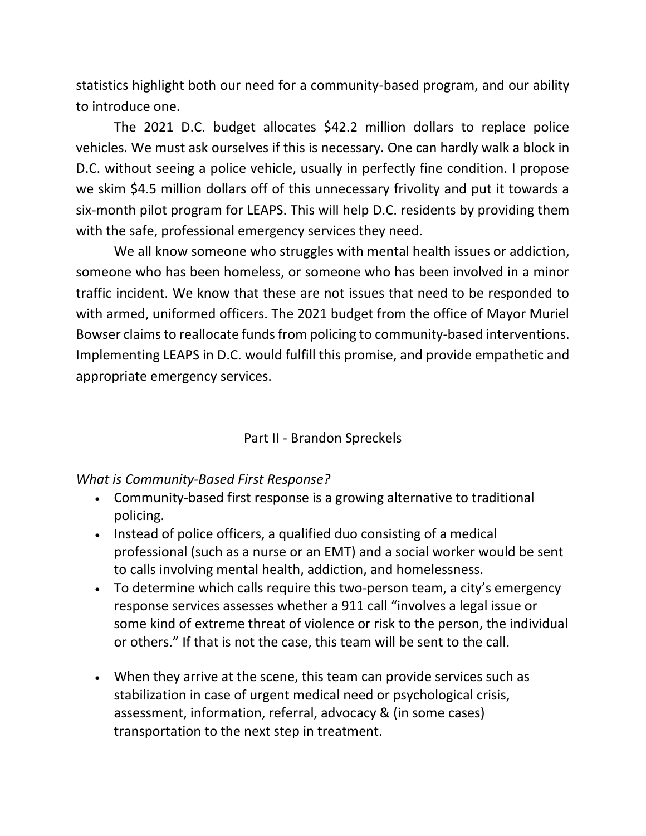statistics highlight both our need for a community-based program, and our ability to introduce one.

The 2021 D.C. budget allocates \$42.2 million dollars to replace police vehicles. We must ask ourselves if this is necessary. One can hardly walk a block in D.C. without seeing a police vehicle, usually in perfectly fine condition. I propose we skim \$4.5 million dollars off of this unnecessary frivolity and put it towards a six-month pilot program for LEAPS. This will help D.C. residents by providing them with the safe, professional emergency services they need.

We all know someone who struggles with mental health issues or addiction, someone who has been homeless, or someone who has been involved in a minor traffic incident. We know that these are not issues that need to be responded to with armed, uniformed officers. The 2021 budget from the office of Mayor Muriel Bowser claims to reallocate funds from policing to community-based interventions. Implementing LEAPS in D.C. would fulfill this promise, and provide empathetic and appropriate emergency services.

#### Part II - Brandon Spreckels

#### *What is Community-Based First Response?*

- Community-based first response is a growing alternative to traditional policing.
- Instead of police officers, a qualified duo consisting of a medical professional (such as a nurse or an EMT) and a social worker would be sent to calls involving mental health, addiction, and homelessness.
- To determine which calls require this two-person team, a city's emergency response services assesses whether a 911 call "involves a legal issue or some kind of extreme threat of violence or risk to the person, the individual or others." If that is not the case, this team will be sent to the call.
- When they arrive at the scene, this team can provide services such as stabilization in case of urgent medical need or psychological crisis, assessment, information, referral, advocacy & (in some cases) transportation to the next step in treatment.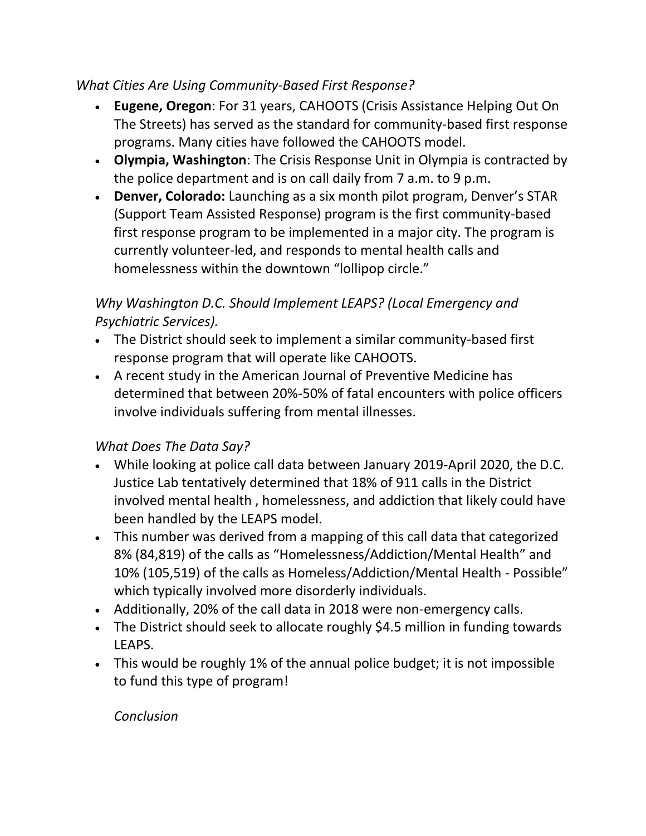### *What Cities Are Using Community-Based First Response?*

- **Eugene, Oregon**: For 31 years, CAHOOTS (Crisis Assistance Helping Out On The Streets) has served as the standard for community-based first response programs. Many cities have followed the CAHOOTS model.
- **Olympia, Washington**: The Crisis Response Unit in Olympia is contracted by the police department and is on call daily from 7 a.m. to 9 p.m.
- **Denver, Colorado:** Launching as a six month pilot program, Denver's STAR (Support Team Assisted Response) program is the first community-based first response program to be implemented in a major city. The program is currently volunteer-led, and responds to mental health calls and homelessness within the downtown "lollipop circle."

## *Why Washington D.C. Should Implement LEAPS? (Local Emergency and Psychiatric Services).*

- The District should seek to implement a similar community-based first response program that will operate like CAHOOTS.
- A recent study in the American Journal of Preventive Medicine has determined that between 20%-50% of fatal encounters with police officers involve individuals suffering from mental illnesses.

## *What Does The Data Say?*

- While looking at police call data between January 2019-April 2020, the D.C. Justice Lab tentatively determined that 18% of 911 calls in the District involved mental health , homelessness, and addiction that likely could have been handled by the LEAPS model.
- This number was derived from a mapping of this call data that categorized 8% (84,819) of the calls as "Homelessness/Addiction/Mental Health" and 10% (105,519) of the calls as Homeless/Addiction/Mental Health - Possible" which typically involved more disorderly individuals.
- Additionally, 20% of the call data in 2018 were non-emergency calls.
- The District should seek to allocate roughly \$4.5 million in funding towards LEAPS.
- This would be roughly 1% of the annual police budget; it is not impossible to fund this type of program!

#### *Conclusion*